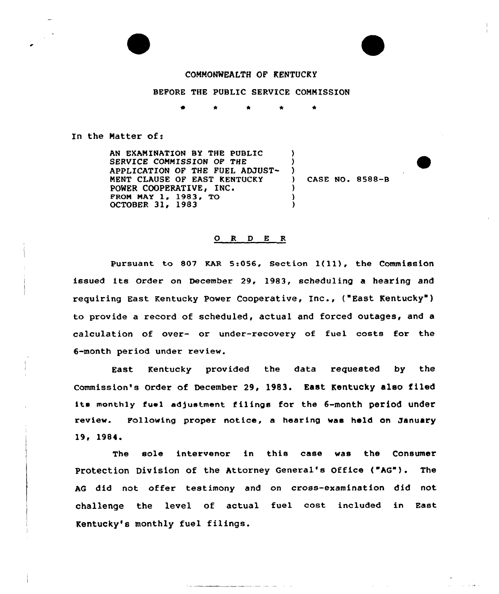## CONNONMEALTH OF KENTUCKY

## BEFORE THE PUBLIC SERVICE COMMISSION

 $\bullet$ 

) )  $\left\{ \begin{array}{c} 1 \\ 2 \end{array} \right\}$ 

> ) ) )

## In the Matter of:

AN EXAMINATION BY THE PUBLIC SERVICE COMMISSION OF THE APPLICATION OF THE FUEL AMUST-NENT CLAUSE OF EAST KENTUCKY POWER COOPERATIVE, INC. FROM MAY 1, 1983, TO OCTOBER 31, 1983

CASE NO. 8588-B

 $\mathcal{L}^{\prime}$  and  $\mathcal{L}^{\prime}$ 

## O R D E R

pursuant to 807 KAR 5:056, Section 1(11), the Commission issued its Order on December 29, 1983, scheduling a hearing and requiring East Kentucky Power Cooperative, Inc., ("East Kentucky") to provide a record of scheduled, actual and forced outages, and a calculation of over- or under-recovery of fuel costs for the 6-month period under review.

East Kentucky provided the data requested by the Commission's Order of December 29, 1983. East Kentucky also filed its monthly fuel adjustment filings for the 6-month period under review. Following proper notice, a hearing was hold on January 19, 1984.

The sole intervenor in this case was the Consumer Protection Division of the Attorney General's Office ("AG"). The AG did not offer testimony and on cross-examination did not challenge the level of actual fuel cost included in East Kentucky's monthly fuel filings.